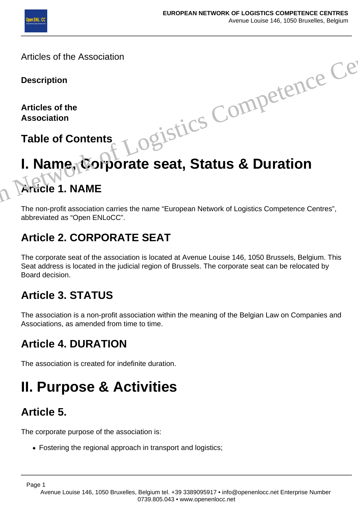

Articles of the Association

#### **Description**

**Articles of the Association**

**Table of Contents**

# **I. Name, Corporate seat, Status & Duration Article 1. NAME** Ogistics Competence Centres

The non-profit association carries the name "European Network of Logistics Competence Centres", abbreviated as "Open ENLoCC".

#### **Article 2. CORPORATE SEAT**

The corporate seat of the association is located at Avenue Louise 146, 1050 Brussels, Belgium. This Seat address is located in the judicial region of Brussels. The corporate seat can be relocated by Board decision.

#### **Article 3. STATUS**

The association is a non-profit association within the meaning of the Belgian Law on Companies and Associations, as amended from time to time.

#### **Article 4. DURATION**

The association is created for indefinite duration.

### **II. Purpose & Activities**

#### **Article 5.**

The corporate purpose of the association is:

Fostering the regional approach in transport and logistics;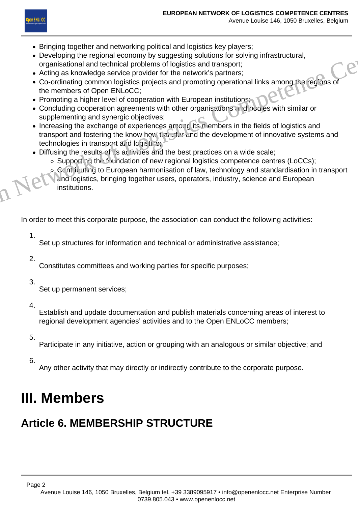

- Bringing together and networking political and logistics key players;
- Developing the regional economy by suggesting solutions for solving infrastructural, organisational and technical problems of logistics and transport;
- Acting as knowledge service provider for the network's partners;
- Co-ordinating common logistics projects and promoting operational links among the regions of the members of Open ENLoCC;
- Promoting a higher level of cooperation with European institutions;
- Concluding cooperation agreements with other organisations and bodies with similar or supplementing and synergic objectives;
- Increasing the exchange of experiences among its members in the fields of logistics and transport and fostering the know how transfer and the development of innovative systems and technologies in transport and logistics; • Distributed and the motion of Logistics Competence Centres (LoCCs);<br>
• Developing the regional accoromy by suggesting solutions for solving infrastructural,<br>
organisational and technical problems of logistics and transpo
	- Diffusing the results of its activities and the best practices on a wide scale;
		- o Supporting the foundation of new regional logistics competence centres (LoCCs);
		- o. Contributing to European harmonisation of law, technology and standardisation in transport and logistics, bringing together users, operators, industry, science and European institutions.

In order to meet this corporate purpose, the association can conduct the following activities:

1.

Set up structures for information and technical or administrative assistance;

2.

Constitutes committees and working parties for specific purposes;

3.

Set up permanent services;

4.

Establish and update documentation and publish materials concerning areas of interest to regional development agencies' activities and to the Open ENLoCC members;

5.

Participate in any initiative, action or grouping with an analogous or similar objective; and

6.

Any other activity that may directly or indirectly contribute to the corporate purpose.

### **III. Members**

#### **Article 6. MEMBERSHIP STRUCTURE**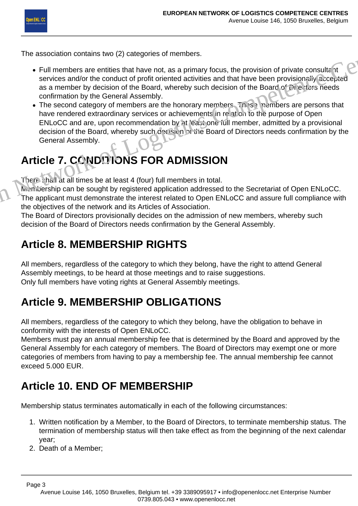The association contains two (2) categories of members.

- Full members are entities that have not, as a primary focus, the provision of private consultant services and/or the conduct of profit oriented activities and that have been provisionally accepted as a member by decision of the Board, whereby such decision of the Board of Directors needs confirmation by the General Assembly.
- The second category of members are the honorary members. These members are persons that have rendered extraordinary services or achievements in relation to the purpose of Open ENLoCC and are, upon recommendation by at least one full member, admitted by a provisional decision of the Board, whereby such decision of the Board of Directors needs confirmation by the General Assembly. The association contains two (2) categories of members.<br>
• Full members are entities that have not, as a primary focus, the provision of private consultant<br>
services and/or the conduct of profit oriented activities and tha

#### Article 7. CONDUIONS FOR ADMISSION

There shall at all times be at least 4 (four) full members in total.

Membership can be sought by registered application addressed to the Secretariat of Open ENLoCC. The applicant must demonstrate the interest related to Open ENLoCC and assure full compliance with the objectives of the network and its Articles of Association.

The Board of Directors provisionally decides on the admission of new members, whereby such decision of the Board of Directors needs confirmation by the General Assembly.

#### **Article 8. MEMBERSHIP RIGHTS**

All members, regardless of the category to which they belong, have the right to attend General Assembly meetings, to be heard at those meetings and to raise suggestions. Only full members have voting rights at General Assembly meetings.

#### **Article 9. MEMBERSHIP OBLIGATIONS**

All members, regardless of the category to which they belong, have the obligation to behave in conformity with the interests of Open ENLoCC.

Members must pay an annual membership fee that is determined by the Board and approved by the General Assembly for each category of members. The Board of Directors may exempt one or more categories of members from having to pay a membership fee. The annual membership fee cannot exceed 5.000 EUR.

#### **Article 10. END OF MEMBERSHIP**

Membership status terminates automatically in each of the following circumstances:

- 1. Written notification by a Member, to the Board of Directors, to terminate membership status. The termination of membership status will then take effect as from the beginning of the next calendar year;
- 2. Death of a Member;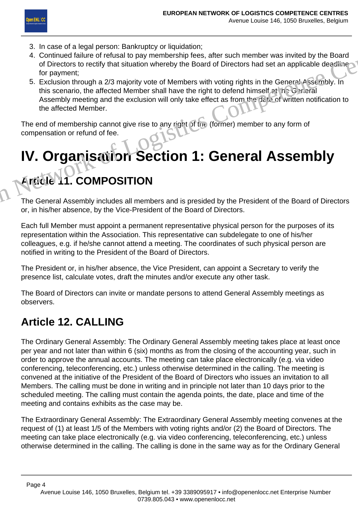

- 3. In case of a legal person: Bankruptcy or liquidation;
- 4. Continued failure of refusal to pay membership fees, after such member was invited by the Board of Directors to rectify that situation whereby the Board of Directors had set an applicable deadline for payment;
- 5. Exclusion through a 2/3 majority vote of Members with voting rights in the General Assembly. In this scenario, the affected Member shall have the right to defend himself at the General Assembly meeting and the exclusion will only take effect as from the date of written notification to the affected Member. European Network of Markin Competition Competition in the Solar Competition Competition of Directors had set an applicable deadline<br>
4. Continued failure of refusal to pay membership fees, after such member was invited by

The end of membership cannot give rise to any right of the (former) member to any form of compensation or refund of fee.

# **IV. Organisation Section 1: General Assembly**

#### **Article 11. COMPOSITION**

The General Assembly includes all members and is presided by the President of the Board of Directors or, in his/her absence, by the Vice-President of the Board of Directors.

Each full Member must appoint a permanent representative physical person for the purposes of its representation within the Association. This representative can subdelegate to one of his/her colleagues, e.g. if he/she cannot attend a meeting. The coordinates of such physical person are notified in writing to the President of the Board of Directors.

The President or, in his/her absence, the Vice President, can appoint a Secretary to verify the presence list, calculate votes, draft the minutes and/or execute any other task.

The Board of Directors can invite or mandate persons to attend General Assembly meetings as observers.

#### **Article 12. CALLING**

The Ordinary General Assembly: The Ordinary General Assembly meeting takes place at least once per year and not later than within 6 (six) months as from the closing of the accounting year, such in order to approve the annual accounts. The meeting can take place electronically (e.g. via video conferencing, teleconferencing, etc.) unless otherwise determined in the calling. The meeting is convened at the initiative of the President of the Board of Directors who issues an invitation to all Members. The calling must be done in writing and in principle not later than 10 days prior to the scheduled meeting. The calling must contain the agenda points, the date, place and time of the meeting and contains exhibits as the case may be.

The Extraordinary General Assembly: The Extraordinary General Assembly meeting convenes at the request of (1) at least 1/5 of the Members with voting rights and/or (2) the Board of Directors. The meeting can take place electronically (e.g. via video conferencing, teleconferencing, etc.) unless otherwise determined in the calling. The calling is done in the same way as for the Ordinary General

Avenue Louise 146, 1050 Bruxelles, Belgium tel. +39 3389095917 • info@openenlocc.net Enterprise Number 0739.805.043 • www.openenlocc.net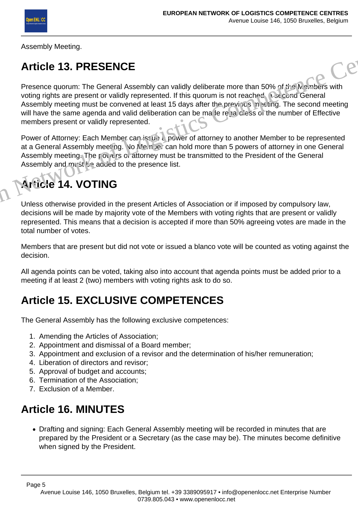Assembly Meeting.

#### **Article 13. PRESENCE**

Presence quorum: The General Assembly can validly deliberate more than 50% of the Members with voting rights are present or validly represented. If this quorum is not reached, a second General Assembly meeting must be convened at least 15 days after the previous in esting. The second meeting will have the same agenda and valid deliberation can be ma le rega diess of the number of Effective members present or validly represented. Anticle 13. PRESENCE<br>
Presence quorum: The General Assembly can validly deliberate more than 50% of the Members with<br>
voting rights are present or validly represented. If this quorum is not reached a second General<br>
Assemb

Power of Attorney: Each Member can issue a power of attorney to another Member to be represented at a General Assembly meeting. No Member can hold more than 5 powers of attorney in one General Assembly meeting. The povers of attorney must be transmitted to the President of the General Assembly and must be added to the presence list.

#### **Article 14. VOTING**

Unless otherwise provided in the present Articles of Association or if imposed by compulsory law, decisions will be made by majority vote of the Members with voting rights that are present or validly represented. This means that a decision is accepted if more than 50% agreeing votes are made in the total number of votes.

Members that are present but did not vote or issued a blanco vote will be counted as voting against the decision.

All agenda points can be voted, taking also into account that agenda points must be added prior to a meeting if at least 2 (two) members with voting rights ask to do so.

#### **Article 15. EXCLUSIVE COMPETENCES**

The General Assembly has the following exclusive competences:

- 1. Amending the Articles of Association;
- 2. Appointment and dismissal of a Board member;
- 3. Appointment and exclusion of a revisor and the determination of his/her remuneration;
- 4. Liberation of directors and revisor;
- 5. Approval of budget and accounts;
- 6. Termination of the Association;
- 7. Exclusion of a Member.

#### **Article 16. MINUTES**

Drafting and signing: Each General Assembly meeting will be recorded in minutes that are prepared by the President or a Secretary (as the case may be). The minutes become definitive when signed by the President.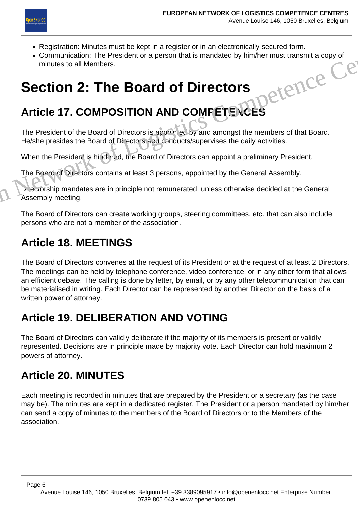

- Registration: Minutes must be kept in a register or in an electronically secured form.
- Communication: The President or a person that is mandated by him/her must transmit a copy of<br>minutes to all Members.<br>**ECtion 2: The Board of Directors** minutes to all Members.

## **Section 2: The Board of Directors**

#### **Article 17. COMPOSITION AND COMPETENCES**

The President of the Board of Directors is appointed by and amongst the members of that Board. He/she presides the Board of Directors and conducts/supervises the daily activities. • Registration: Minutes host be reprint a register of in all electronically secured rolms.<br>• Communication: The President or a person that is mandated by him/her must transmit a copy of<br>minutes to all Members.<br>**Section 2:** 

When the President is hindered, the Board of Directors can appoint a preliminary President.

The Board of Directors contains at least 3 persons, appointed by the General Assembly.

Directorship mandates are in principle not remunerated, unless otherwise decided at the General Assembly meeting.

The Board of Directors can create working groups, steering committees, etc. that can also include persons who are not a member of the association.

#### **Article 18. MEETINGS**

The Board of Directors convenes at the request of its President or at the request of at least 2 Directors. The meetings can be held by telephone conference, video conference, or in any other form that allows an efficient debate. The calling is done by letter, by email, or by any other telecommunication that can be materialised in writing. Each Director can be represented by another Director on the basis of a written power of attorney.

#### **Article 19. DELIBERATION AND VOTING**

The Board of Directors can validly deliberate if the majority of its members is present or validly represented. Decisions are in principle made by majority vote. Each Director can hold maximum 2 powers of attorney.

#### **Article 20. MINUTES**

Each meeting is recorded in minutes that are prepared by the President or a secretary (as the case may be). The minutes are kept in a dedicated register. The President or a person mandated by him/her can send a copy of minutes to the members of the Board of Directors or to the Members of the association.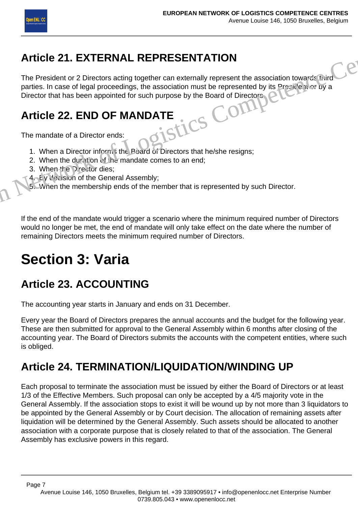

#### **Article 21. EXTERNAL REPRESENTATION**

The President or 2 Directors acting together can externally represent the association towards third parties. In case of legal proceedings, the association must be represented by its President of by a Article 21. EXTERNAL REPRESENTATION<br>
The President or 2 Directors acting together can externally represent the association towards this<br>
parties. In case of legal proceedings, the association must be represented by its Pre

## Director that has been appointed for such purpose by the Board of Directors.<br> **Article 22. END OF MANDATE**<br>
The mandate of a Director of the Superior Computer of the MANDATE **Article 22. END OF MANDATE**

The mandate of a Director ends:

- 1. When a Director informs the Board of Directors that he/she resigns;
- 2. When the duration of the mandate comes to an end;
- 3. When the Director dies;
- 4. By decision of the General Assembly;

5. When the membership ends of the member that is represented by such Director.

If the end of the mandate would trigger a scenario where the minimum required number of Directors would no longer be met, the end of mandate will only take effect on the date where the number of remaining Directors meets the minimum required number of Directors.

### **Section 3: Varia**

#### **Article 23. ACCOUNTING**

The accounting year starts in January and ends on 31 December.

Every year the Board of Directors prepares the annual accounts and the budget for the following year. These are then submitted for approval to the General Assembly within 6 months after closing of the accounting year. The Board of Directors submits the accounts with the competent entities, where such is obliged.

#### **Article 24. TERMINATION/LIQUIDATION/WINDING UP**

Each proposal to terminate the association must be issued by either the Board of Directors or at least 1/3 of the Effective Members. Such proposal can only be accepted by a 4/5 majority vote in the General Assembly. If the association stops to exist it will be wound up by not more than 3 liquidators to be appointed by the General Assembly or by Court decision. The allocation of remaining assets after liquidation will be determined by the General Assembly. Such assets should be allocated to another association with a corporate purpose that is closely related to that of the association. The General Assembly has exclusive powers in this regard.